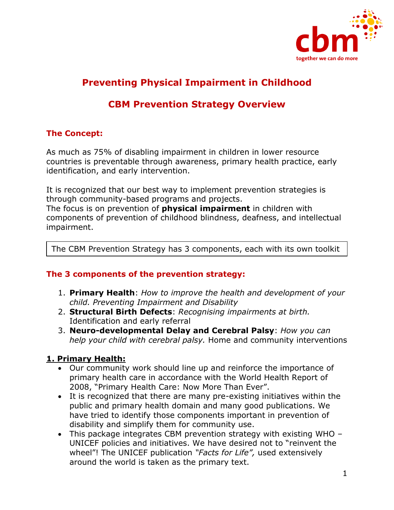

# **Preventing Physical Impairment in Childhood**

## **CBM Prevention Strategy Overview**

#### **The Concept:**

As much as 75% of disabling impairment in children in lower resource countries is preventable through awareness, primary health practice, early identification, and early intervention.

It is recognized that our best way to implement prevention strategies is through community-based programs and projects.

The focus is on prevention of **physical impairment** in children with components of prevention of childhood blindness, deafness, and intellectual impairment.

The CBM Prevention Strategy has 3 components, each with its own toolkit

#### **The 3 components of the prevention strategy:**

- 1. **Primary Health**: *How to improve the health and development of your child. Preventing Impairment and Disability*
- 2. **Structural Birth Defects**: *Recognising impairments at birth.* Identification and early referral
- 3. **Neuro-developmental Delay and Cerebral Palsy**: *How you can help your child with cerebral palsy.* Home and community interventions

#### **1. Primary Health:**

- Our community work should line up and reinforce the importance of primary health care in accordance with the World Health Report of 2008, "Primary Health Care: Now More Than Ever".
- It is recognized that there are many pre-existing initiatives within the public and primary health domain and many good publications. We have tried to identify those components important in prevention of disability and simplify them for community use.
- This package integrates CBM prevention strategy with existing WHO UNICEF policies and initiatives. We have desired not to "reinvent the wheel"! The UNICEF publication *"Facts for Life",* used extensively around the world is taken as the primary text.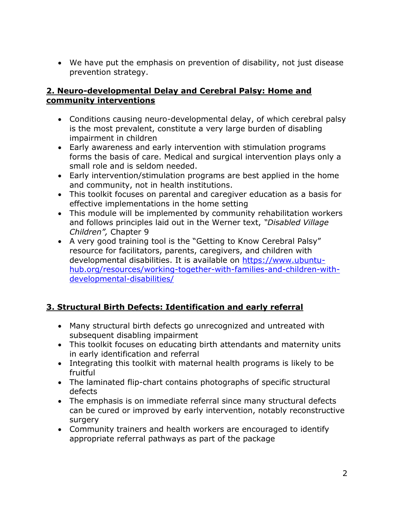• We have put the emphasis on prevention of disability, not just disease prevention strategy.

#### **2. Neuro-developmental Delay and Cerebral Palsy: Home and community interventions**

- Conditions causing neuro-developmental delay, of which cerebral palsy is the most prevalent, constitute a very large burden of disabling impairment in children
- Early awareness and early intervention with stimulation programs forms the basis of care. Medical and surgical intervention plays only a small role and is seldom needed.
- Early intervention/stimulation programs are best applied in the home and community, not in health institutions.
- This toolkit focuses on parental and caregiver education as a basis for effective implementations in the home setting
- This module will be implemented by community rehabilitation workers and follows principles laid out in the Werner text, *"Disabled Village Children",* Chapter 9
- A very good training tool is the "Getting to Know Cerebral Palsy" resource for facilitators, parents, caregivers, and children with developmental disabilities. It is available on [https://www.ubuntu](https://www.ubuntu-hub.org/resources/working-together-with-families-and-children-with-developmental-disabilities/)[hub.org/resources/working-together-with-families-and-children-with](https://www.ubuntu-hub.org/resources/working-together-with-families-and-children-with-developmental-disabilities/)[developmental-disabilities/](https://www.ubuntu-hub.org/resources/working-together-with-families-and-children-with-developmental-disabilities/)

## **3. Structural Birth Defects: Identification and early referral**

- Many structural birth defects go unrecognized and untreated with subsequent disabling impairment
- This toolkit focuses on educating birth attendants and maternity units in early identification and referral
- Integrating this toolkit with maternal health programs is likely to be fruitful
- The laminated flip-chart contains photographs of specific structural defects
- The emphasis is on immediate referral since many structural defects can be cured or improved by early intervention, notably reconstructive surgery
- Community trainers and health workers are encouraged to identify appropriate referral pathways as part of the package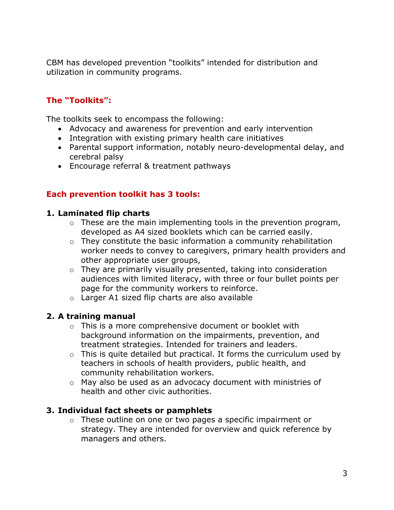CBM has developed prevention "toolkits" intended for distribution and utilization in community programs.

## **The "Toolkits":**

The toolkits seek to encompass the following:

- Advocacy and awareness for prevention and early intervention
- Integration with existing primary health care initiatives
- Parental support information, notably neuro-developmental delay, and cerebral palsy
- Encourage referral & treatment pathways

#### **Each prevention toolkit has 3 tools:**

#### **1. Laminated flip charts**

- $\circ$  These are the main implementing tools in the prevention program, developed as A4 sized booklets which can be carried easily.
- o They constitute the basic information a community rehabilitation worker needs to convey to caregivers, primary health providers and other appropriate user groups,
- o They are primarily visually presented, taking into consideration audiences with limited literacy, with three or four bullet points per page for the community workers to reinforce.
- o Larger A1 sized flip charts are also available

#### **2. A training manual**

- o This is a more comprehensive document or booklet with background information on the impairments, prevention, and treatment strategies. Intended for trainers and leaders.
- $\circ$  This is quite detailed but practical. It forms the curriculum used by teachers in schools of health providers, public health, and community rehabilitation workers.
- o May also be used as an advocacy document with ministries of health and other civic authorities.

#### **3. Individual fact sheets or pamphlets**

o These outline on one or two pages a specific impairment or strategy. They are intended for overview and quick reference by managers and others.